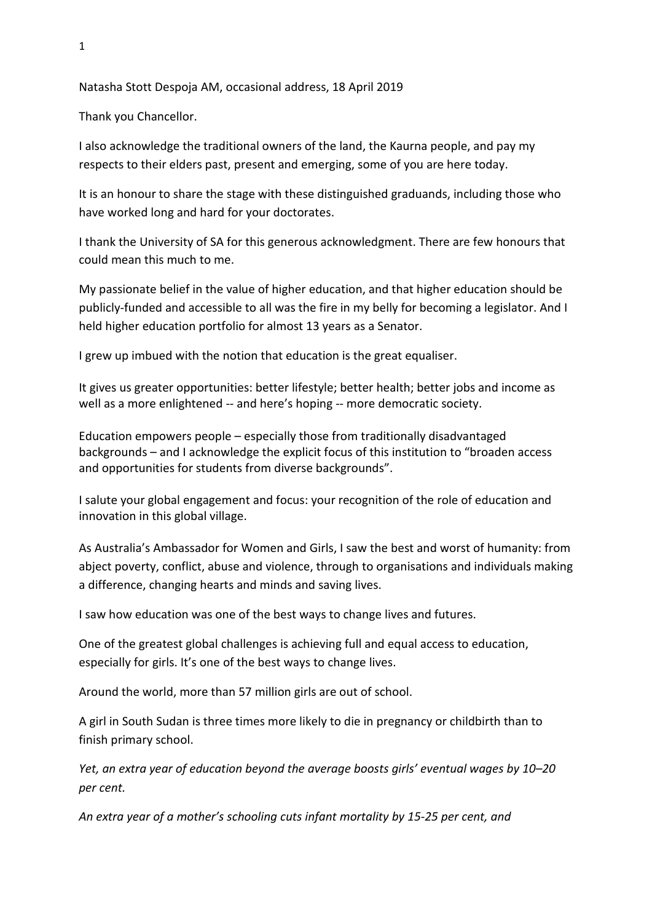Natasha Stott Despoja AM, occasional address, 18 April 2019

Thank you Chancellor.

I also acknowledge the traditional owners of the land, the Kaurna people, and pay my respects to their elders past, present and emerging, some of you are here today.

It is an honour to share the stage with these distinguished graduands, including those who have worked long and hard for your doctorates.

I thank the University of SA for this generous acknowledgment. There are few honours that could mean this much to me.

My passionate belief in the value of higher education, and that higher education should be publicly-funded and accessible to all was the fire in my belly for becoming a legislator. And I held higher education portfolio for almost 13 years as a Senator.

I grew up imbued with the notion that education is the great equaliser.

It gives us greater opportunities: better lifestyle; better health; better jobs and income as well as a more enlightened -- and here's hoping -- more democratic society.

Education empowers people – especially those from traditionally disadvantaged backgrounds – and I acknowledge the explicit focus of this institution to "broaden access and opportunities for students from diverse backgrounds".

I salute your global engagement and focus: your recognition of the role of education and innovation in this global village.

As Australia's Ambassador for Women and Girls, I saw the best and worst of humanity: from abject poverty, conflict, abuse and violence, through to organisations and individuals making a difference, changing hearts and minds and saving lives.

I saw how education was one of the best ways to change lives and futures.

One of the greatest global challenges is achieving full and equal access to education, especially for girls. It's one of the best ways to change lives.

Around the world, more than 57 million girls are out of school.

A girl in South Sudan is three times more likely to die in pregnancy or childbirth than to finish primary school.

*Yet, an extra year of education beyond the average boosts girls' eventual wages by 10–20 per cent.* 

*An extra year of a mother's schooling cuts infant mortality by 15-25 per cent, and*